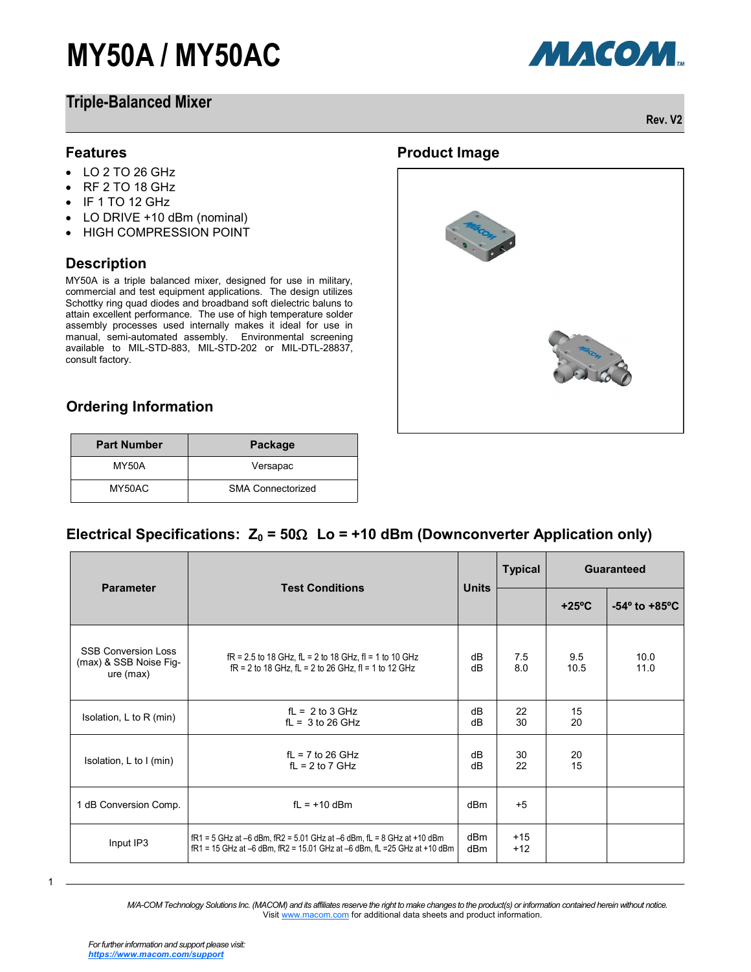# **MY50A / MY50AC**

### **Triple-Balanced Mixer**



МАСОМ.

**Rev. V2**

#### **Features**

- $\cdot$  LO 2 TO 26 GHz
- RF 2 TO 18 GHz
- $\bullet$  IF 1 TO 12 GHz
- LO DRIVE +10 dBm (nominal)
- HIGH COMPRESSION POINT

#### **Description**

MY50A is a triple balanced mixer, designed for use in military, commercial and test equipment applications. The design utilizes Schottky ring quad diodes and broadband soft dielectric baluns to attain excellent performance. The use of high temperature solder assembly processes used internally makes it ideal for use in manual, semi-automated assembly. Environmental screening available to MIL-STD-883, MIL-STD-202 or MIL-DTL-28837, consult factory.

**Product Image**

### **Ordering Information**

| <b>Part Number</b> | Package                  |  |
|--------------------|--------------------------|--|
| MY50A              | Versapac                 |  |
| MY50AC             | <b>SMA Connectorized</b> |  |

### Electrical Specifications:  $Z_0 = 50\Omega$  Lo = +10 dBm (Downconverter Application only)

| <b>Parameter</b>                                                  | <b>Test Conditions</b>                                                                                                                                          | <b>Units</b> | <b>Typical</b> | Guaranteed      |                                  |
|-------------------------------------------------------------------|-----------------------------------------------------------------------------------------------------------------------------------------------------------------|--------------|----------------|-----------------|----------------------------------|
|                                                                   |                                                                                                                                                                 |              |                | $+25^{\circ}$ C | $-54^{\circ}$ to $+85^{\circ}$ C |
| <b>SSB Conversion Loss</b><br>(max) & SSB Noise Fig-<br>ure (max) | $fR = 2.5$ to 18 GHz, $fL = 2$ to 18 GHz, $fI = 1$ to 10 GHz<br>$fR = 2$ to 18 GHz, $fL = 2$ to 26 GHz, $fI = 1$ to 12 GHz                                      | dB<br>dB     | 7.5<br>8.0     | 9.5<br>10.5     | 10.0<br>11.0                     |
| Isolation, L to R (min)                                           | $fL = 2$ to 3 GHz<br>$fL = 3$ to 26 GHz                                                                                                                         | dB<br>dB     | 22<br>30       | 15<br>20        |                                  |
| Isolation, L to I (min)                                           | $fL = 7$ to 26 GHz<br>$fL = 2$ to 7 GHz                                                                                                                         | dB<br>dB     | 30<br>22       | 20<br>15        |                                  |
| 1 dB Conversion Comp.                                             | $f1 = +10$ dBm                                                                                                                                                  | dBm          | $+5$           |                 |                                  |
| Input IP3                                                         | $fR1 = 5$ GHz at $-6$ dBm, $fR2 = 5.01$ GHz at $-6$ dBm, $fL = 8$ GHz at $+10$ dBm<br>fR1 = 15 GHz at -6 dBm, fR2 = 15.01 GHz at -6 dBm, fL = 25 GHz at +10 dBm | dBm<br>dBm   | $+15$<br>$+12$ |                 |                                  |

1

*M/A-COM Technology Solutions Inc. (MACOM) and its affiliates reserve the right to make changes to the product(s) or information contained herein without notice.*  Visit [www.macom.com](http://www.macom.com/) for additional data sheets and product information.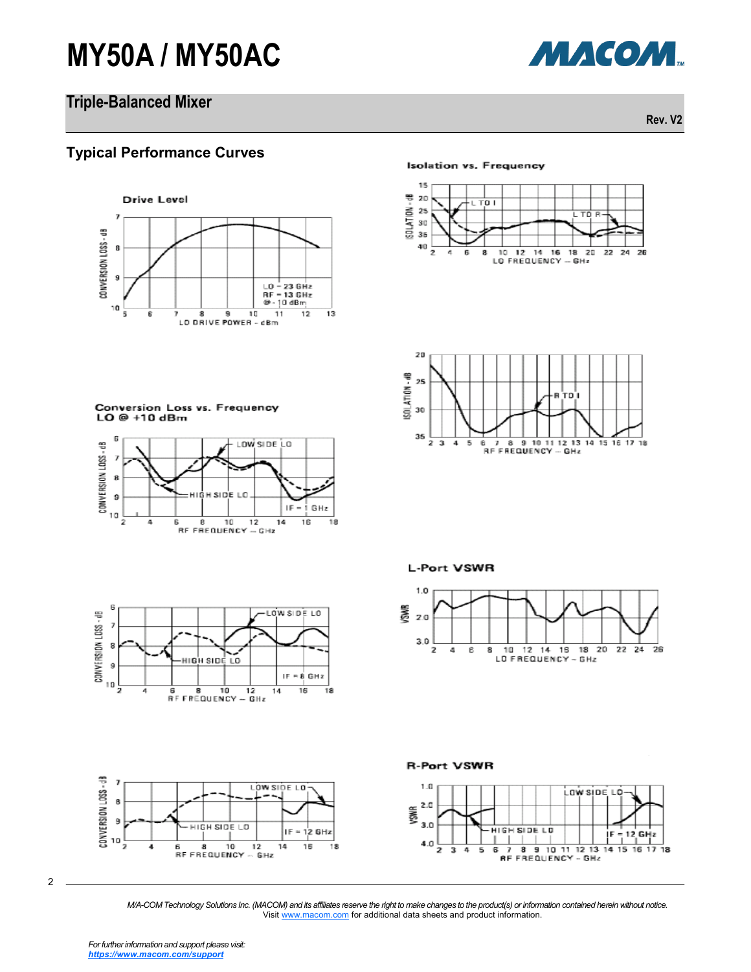# **MY50A / MY50AC**

# **Triple-Balanced Mixer**

**Rev. V2**

МАСОМ.

#### **Typical Performance Curves**



#### **Isolation vs. Frequency**





Conversion Loss vs. Frequency  $LO@+10dBm$ 















2

*M/A-COM Technology Solutions Inc. (MACOM) and its affiliates reserve the right to make changes to the product(s) or information contained herein without notice.*  Visit [www.macom.com](http://www.macom.com/) for additional data sheets and product information.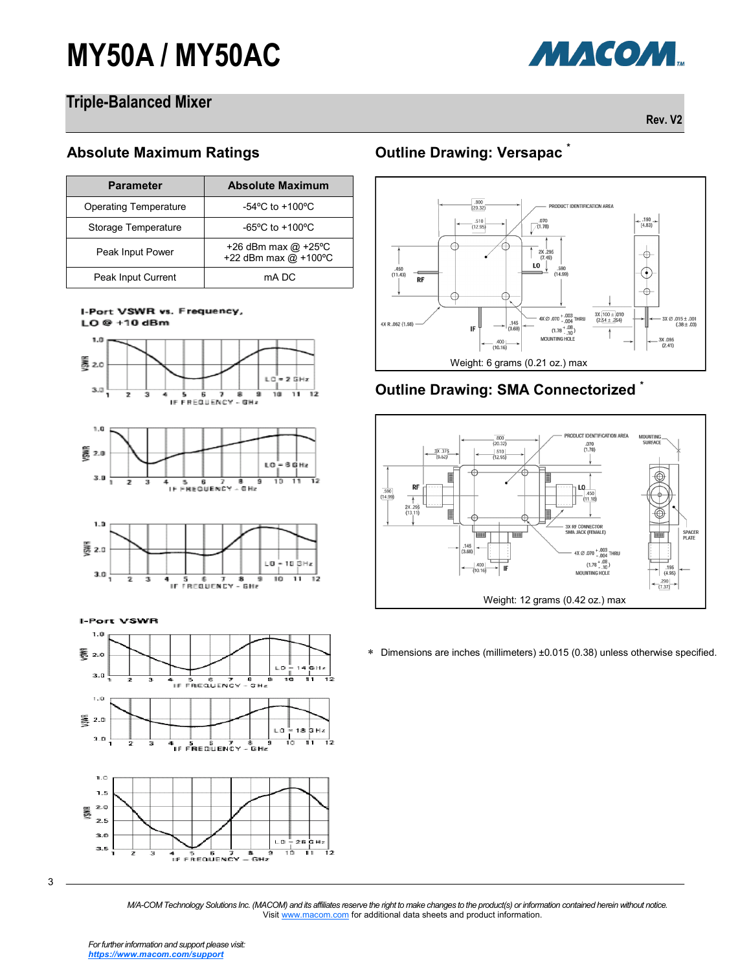# **MY50A / MY50AC**



## **Triple-Balanced Mixer**

**Rev. V2**

#### **Absolute Maximum Ratings**

| <b>Parameter</b>      | <b>Absolute Maximum</b>                       |  |  |
|-----------------------|-----------------------------------------------|--|--|
| Operating Temperature | -54 $^{\circ}$ C to +100 $^{\circ}$ C         |  |  |
| Storage Temperature   | $-65^{\circ}$ C to $+100^{\circ}$ C           |  |  |
| Peak Input Power      | +26 dBm max $@$ +25°C<br>+22 dBm max @ +100°C |  |  |
| Peak Input Current    | mA DC                                         |  |  |





**I-Port VSWR** 





3

**Outline Drawing: Versapac \***



# **Outline Drawing: SMA Connectorized \***



Dimensions are inches (millimeters) ±0.015 (0.38) unless otherwise specified.

*M/A-COM Technology Solutions Inc. (MACOM) and its affiliates reserve the right to make changes to the product(s) or information contained herein without notice.*  Visit [www.macom.com](http://www.macom.com/) for additional data sheets and product information.